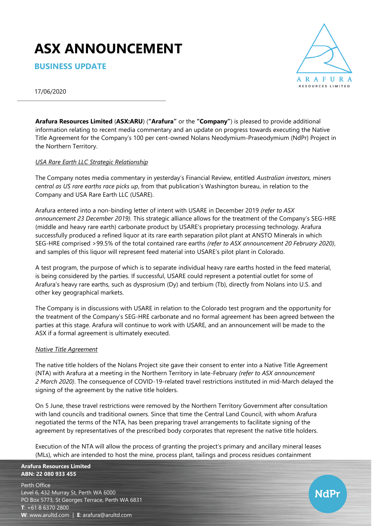# **ASX ANNOUNCEMENT**

**BUSINESS UPDATE**



17/06/2020

**Arafura Resources Limited** (**ASX:ARU**) (**"Arafura"** or the **"Company"**) is pleased to provide additional information relating to recent media commentary and an update on progress towards executing the Native Title Agreement for the Company's 100 per cent-owned Nolans Neodymium-Praseodymium (NdPr) Project in the Northern Territory.

## *USA Rare Earth LLC Strategic Relationship*

The Company notes media commentary in yesterday's Financial Review, entitled *Australian investors, miners central as US rare earths race picks up*, from that publication's Washington bureau, in relation to the Company and USA Rare Earth LLC (USARE).

Arafura entered into a non-binding letter of intent with USARE in December 2019 *(refer to ASX announcement 23 December 2019).* This strategic alliance allows for the treatment of the Company's SEG-HRE (middle and heavy rare earth) carbonate product by USARE's proprietary processing technology. Arafura successfully produced a refined liquor at its rare earth separation pilot plant at ANSTO Minerals in which SEG-HRE comprised >99.5% of the total contained rare earths *(refer to ASX announcement 20 February 2020)*, and samples of this liquor will represent feed material into USARE's pilot plant in Colorado.

A test program, the purpose of which is to separate individual heavy rare earths hosted in the feed material, is being considered by the parties. If successful, USARE could represent a potential outlet for some of Arafura's heavy rare earths, such as dysprosium (Dy) and terbium (Tb), directly from Nolans into U.S. and other key geographical markets.

The Company is in discussions with USARE in relation to the Colorado test program and the opportunity for the treatment of the Company's SEG-HRE carbonate and no formal agreement has been agreed between the parties at this stage. Arafura will continue to work with USARE, and an announcement will be made to the ASX if a formal agreement is ultimately executed.

## *Native Title Agreement*

The native title holders of the Nolans Project site gave their consent to enter into a Native Title Agreement (NTA) with Arafura at a meeting in the Northern Territory in late-February *(refer to ASX announcement 2 March 2020)*. The consequence of COVID-19-related travel restrictions instituted in mid-March delayed the signing of the agreement by the native title holders.

On 5 June, these travel restrictions were removed by the Northern Territory Government after consultation with land councils and traditional owners. Since that time the Central Land Council, with whom Arafura negotiated the terms of the NTA, has been preparing travel arrangements to facilitate signing of the agreement by representatives of the prescribed body corporates that represent the native title holders.

Execution of the NTA will allow the process of granting the project's primary and ancillary mineral leases (MLs), which are intended to host the mine, process plant, tailings and process residues containment

**Arafura Resources Limited ABN: 22 080 933 455**

Perth Office Level 6, 432 Murray St, Perth WA 6000 PO Box 5773, St Georges Terrace, Perth WA 6831 **T**: +61 8 6370 2800 **W**: [www.arultd.com](http://www.arultd.com/) | **E**[: arafura@arultd.com](mailto:arafura@arultd.com)